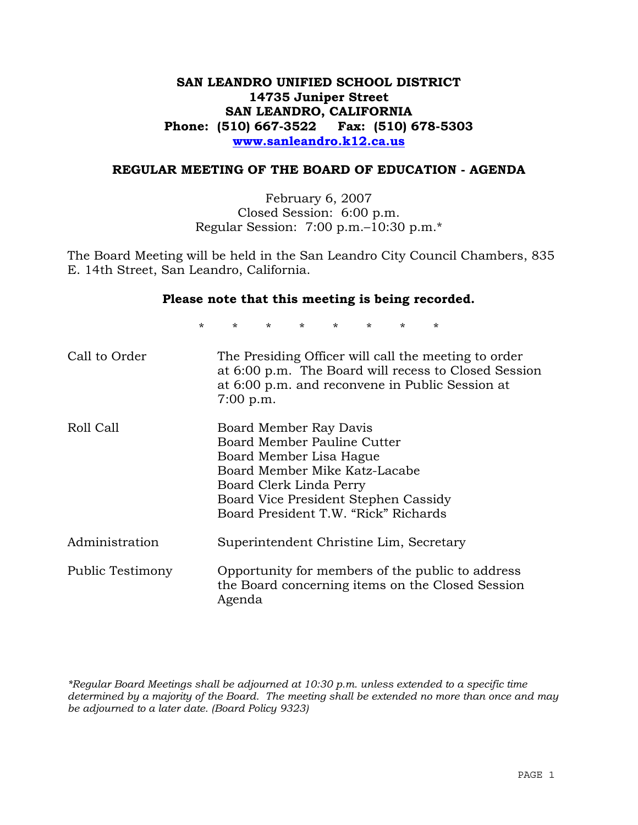## **SAN LEANDRO UNIFIED SCHOOL DISTRICT 14735 Juniper Street SAN LEANDRO, CALIFORNIA Phone: (510) 667-3522 Fax: (510) 678-5303 www.sanleandro.k12.ca.us**

## **REGULAR MEETING OF THE BOARD OF EDUCATION - AGENDA**

February 6, 2007 Closed Session: 6:00 p.m. Regular Session: 7:00 p.m.–10:30 p.m.\*

The Board Meeting will be held in the San Leandro City Council Chambers, 835 E. 14th Street, San Leandro, California.

#### **Please note that this meeting is being recorded.**

\* \* \* \* \* \* \* \*

| Call to Order    | The Presiding Officer will call the meeting to order<br>at 6:00 p.m. The Board will recess to Closed Session<br>at 6:00 p.m. and reconvene in Public Session at<br>$7:00$ p.m.                                               |
|------------------|------------------------------------------------------------------------------------------------------------------------------------------------------------------------------------------------------------------------------|
| Roll Call        | Board Member Ray Davis<br>Board Member Pauline Cutter<br>Board Member Lisa Hague<br>Board Member Mike Katz-Lacabe<br>Board Clerk Linda Perry<br>Board Vice President Stephen Cassidy<br>Board President T.W. "Rick" Richards |
| Administration   | Superintendent Christine Lim, Secretary                                                                                                                                                                                      |
| Public Testimony | Opportunity for members of the public to address<br>the Board concerning items on the Closed Session<br>Agenda                                                                                                               |

*\*Regular Board Meetings shall be adjourned at 10:30 p.m. unless extended to a specific time determined by a majority of the Board. The meeting shall be extended no more than once and may be adjourned to a later date. (Board Policy 9323)*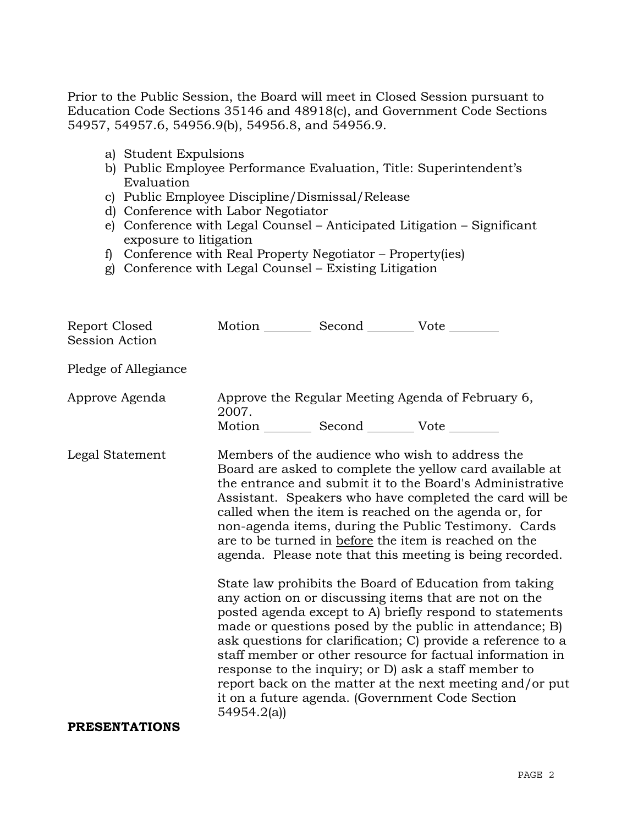Prior to the Public Session, the Board will meet in Closed Session pursuant to Education Code Sections 35146 and 48918(c), and Government Code Sections 54957, 54957.6, 54956.9(b), 54956.8, and 54956.9.

- a) Student Expulsions
- b) Public Employee Performance Evaluation, Title: Superintendent's Evaluation
- c) Public Employee Discipline/Dismissal/Release
- d) Conference with Labor Negotiator
- e) Conference with Legal Counsel Anticipated Litigation Significant exposure to litigation
- f) Conference with Real Property Negotiator Property(ies)
- g) Conference with Legal Counsel Existing Litigation

| Report Closed<br><b>Session Action</b> | Motion __________ Second __________ Vote ________ |                                                                                                                                                                                                                                                                                                                                                                                                                                                                                                                                                                                                                                                                                                                                                                                                                                                                                                                                                                                                                        |
|----------------------------------------|---------------------------------------------------|------------------------------------------------------------------------------------------------------------------------------------------------------------------------------------------------------------------------------------------------------------------------------------------------------------------------------------------------------------------------------------------------------------------------------------------------------------------------------------------------------------------------------------------------------------------------------------------------------------------------------------------------------------------------------------------------------------------------------------------------------------------------------------------------------------------------------------------------------------------------------------------------------------------------------------------------------------------------------------------------------------------------|
| Pledge of Allegiance                   |                                                   |                                                                                                                                                                                                                                                                                                                                                                                                                                                                                                                                                                                                                                                                                                                                                                                                                                                                                                                                                                                                                        |
| Approve Agenda                         | 2007.                                             | Approve the Regular Meeting Agenda of February 6,                                                                                                                                                                                                                                                                                                                                                                                                                                                                                                                                                                                                                                                                                                                                                                                                                                                                                                                                                                      |
|                                        | Motion __________ Second __________ Vote ________ |                                                                                                                                                                                                                                                                                                                                                                                                                                                                                                                                                                                                                                                                                                                                                                                                                                                                                                                                                                                                                        |
| Legal Statement                        |                                                   | Members of the audience who wish to address the<br>Board are asked to complete the yellow card available at<br>the entrance and submit it to the Board's Administrative<br>Assistant. Speakers who have completed the card will be<br>called when the item is reached on the agenda or, for<br>non-agenda items, during the Public Testimony. Cards<br>are to be turned in before the item is reached on the<br>agenda. Please note that this meeting is being recorded.<br>State law prohibits the Board of Education from taking<br>any action on or discussing items that are not on the<br>posted agenda except to A) briefly respond to statements<br>made or questions posed by the public in attendance; B)<br>ask questions for clarification; C) provide a reference to a<br>staff member or other resource for factual information in<br>response to the inquiry; or D) ask a staff member to<br>report back on the matter at the next meeting and/or put<br>it on a future agenda. (Government Code Section |
| <b>PRESENTATIONS</b>                   | 54954.2(a)                                        |                                                                                                                                                                                                                                                                                                                                                                                                                                                                                                                                                                                                                                                                                                                                                                                                                                                                                                                                                                                                                        |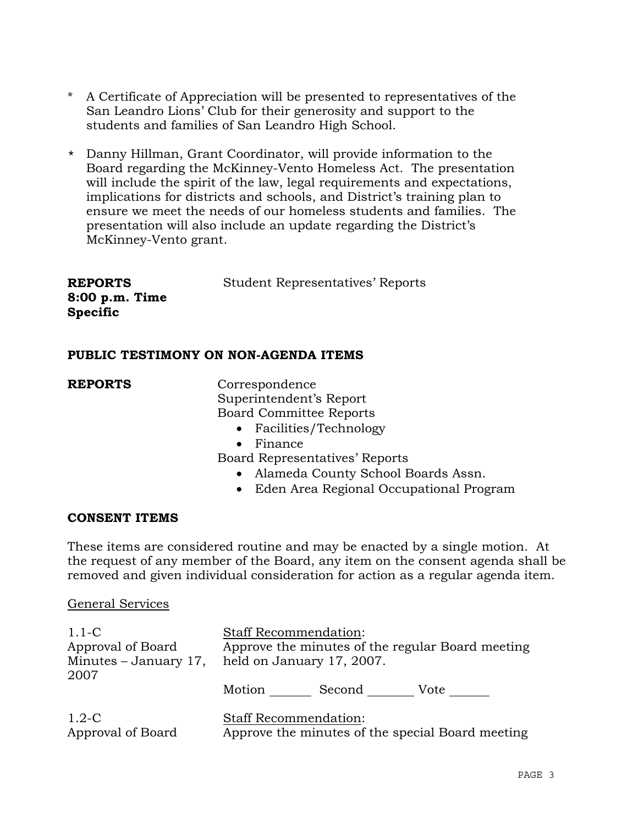- \* A Certificate of Appreciation will be presented to representatives of the San Leandro Lions' Club for their generosity and support to the students and families of San Leandro High School.
- \* Danny Hillman, Grant Coordinator, will provide information to the Board regarding the McKinney-Vento Homeless Act. The presentation will include the spirit of the law, legal requirements and expectations, implications for districts and schools, and District's training plan to ensure we meet the needs of our homeless students and families. The presentation will also include an update regarding the District's McKinney-Vento grant.

| <b>REPORTS</b>   | <b>Student Representatives' Reports</b> |
|------------------|-----------------------------------------|
| $8:00$ p.m. Time |                                         |
| <b>Specific</b>  |                                         |

## **PUBLIC TESTIMONY ON NON-AGENDA ITEMS**

**REPORTS** Correspondence Superintendent's Report Board Committee Reports

- Facilities/Technology
- Finance

Board Representatives' Reports

- Alameda County School Boards Assn.
- Eden Area Regional Occupational Program

## **CONSENT ITEMS**

These items are considered routine and may be enacted by a single motion. At the request of any member of the Board, any item on the consent agenda shall be removed and given individual consideration for action as a regular agenda item.

## General Services

| $1.1-C$<br>Approval of Board<br>Minutes $-$ January 17,<br>2007 | <b>Staff Recommendation:</b><br>Approve the minutes of the regular Board meeting<br>held on January 17, 2007. |        |                                                  |
|-----------------------------------------------------------------|---------------------------------------------------------------------------------------------------------------|--------|--------------------------------------------------|
|                                                                 | Motion                                                                                                        | Second | Vote                                             |
| $1.2\text{-C}$<br>Approval of Board                             | Staff Recommendation:                                                                                         |        | Approve the minutes of the special Board meeting |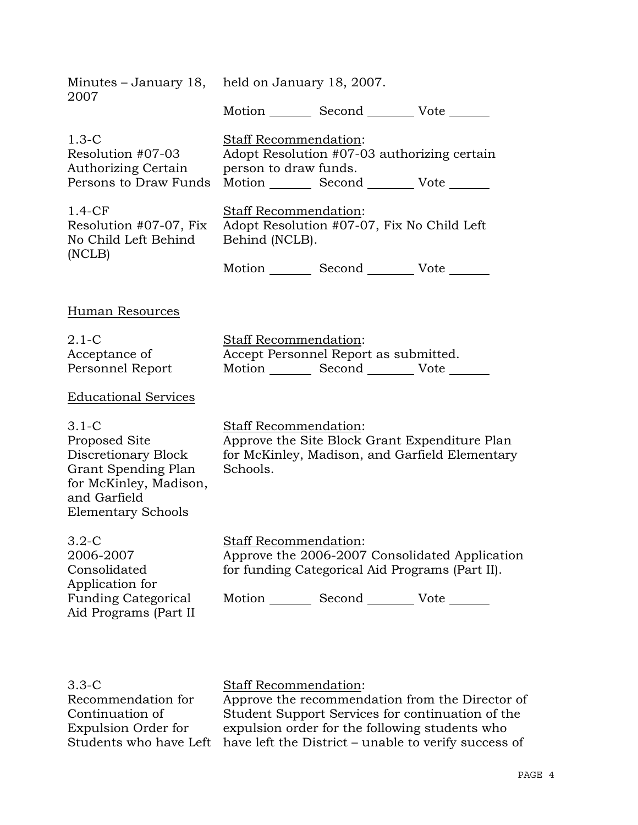| 2007                                                                                                                                          | Minutes – January 18, held on January 18, 2007.                                                             |  |                                                                                                   |
|-----------------------------------------------------------------------------------------------------------------------------------------------|-------------------------------------------------------------------------------------------------------------|--|---------------------------------------------------------------------------------------------------|
|                                                                                                                                               | Motion Second Vote                                                                                          |  |                                                                                                   |
| $1.3-C$<br>Resolution #07-03<br><b>Authorizing Certain</b><br>Persons to Draw Funds                                                           | <b>Staff Recommendation:</b><br>person to draw funds.<br>Motion _________ Second __________ Vote _______    |  | Adopt Resolution #07-03 authorizing certain                                                       |
| $1.4-CF$<br>Resolution #07-07, Fix<br>No Child Left Behind<br>(NCLB)                                                                          | Staff Recommendation:<br>Adopt Resolution #07-07, Fix No Child Left<br>Behind (NCLB).<br>Motion Second Vote |  |                                                                                                   |
| Human Resources                                                                                                                               |                                                                                                             |  |                                                                                                   |
| $2.1-C$<br>Acceptance of<br>Personnel Report                                                                                                  | <b>Staff Recommendation:</b><br>Accept Personnel Report as submitted.<br>Motion Second Vote                 |  |                                                                                                   |
| <b>Educational Services</b>                                                                                                                   |                                                                                                             |  |                                                                                                   |
| $3.1-C$<br>Proposed Site<br>Discretionary Block<br>Grant Spending Plan<br>for McKinley, Madison,<br>and Garfield<br><b>Elementary Schools</b> | Staff Recommendation:<br>Schools.                                                                           |  | Approve the Site Block Grant Expenditure Plan<br>for McKinley, Madison, and Garfield Elementary   |
| $3.2-C$<br>2006-2007<br>Consolidated<br>Application for<br><b>Funding Categorical</b><br>Aid Programs (Part II)                               | <b>Staff Recommendation:</b><br>Motion _________ Second __________ Vote _______                             |  | Approve the 2006-2007 Consolidated Application<br>for funding Categorical Aid Programs (Part II). |

3.3-C Recommendation for Continuation of Expulsion Order for

Staff Recommendation:

Students who have Left have left the District – unable to verify success of Approve the recommendation from the Director of Student Support Services for continuation of the expulsion order for the following students who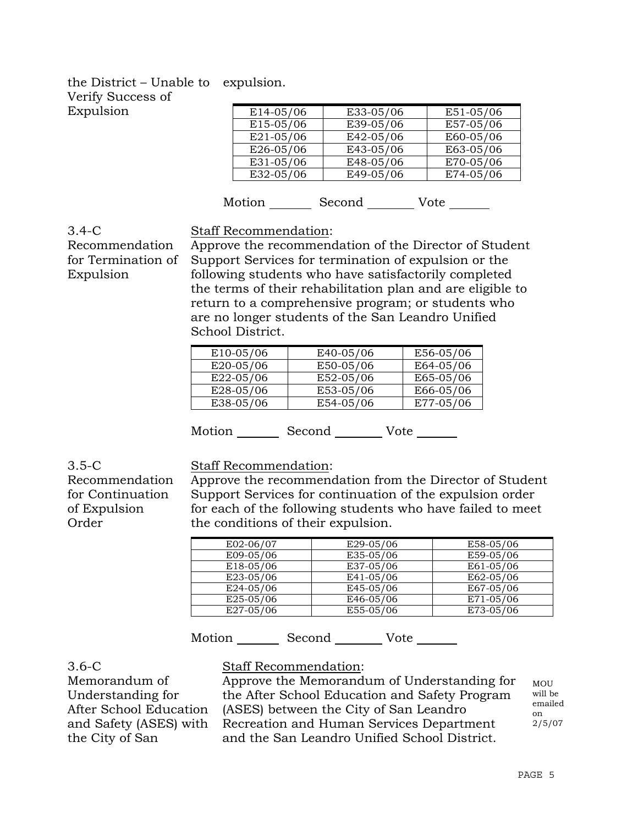## the District – Unable to expulsion. Verify Success of Expulsion

| E14-05/06 | E33-05/06 | E51-05/06 |
|-----------|-----------|-----------|
| E15-05/06 | E39-05/06 | E57-05/06 |
| E21-05/06 | E42-05/06 | E60-05/06 |
| E26-05/06 | E43-05/06 | E63-05/06 |
| E31-05/06 | E48-05/06 | E70-05/06 |
| E32-05/06 | E49-05/06 | E74-05/06 |
|           |           |           |

Motion Second Vote \_\_\_\_\_\_\_

## 3.4-C Recommendation for Termination of Expulsion

Staff Recommendation:

Approve the recommendation of the Director of Student Support Services for termination of expulsion or the following students who have satisfactorily completed the terms of their rehabilitation plan and are eligible to return to a comprehensive program; or students who are no longer students of the San Leandro Unified School District.

| E10-05/06 | E40-05/06 | E56-05/06 |
|-----------|-----------|-----------|
| E20-05/06 | E50-05/06 | E64-05/06 |
| E22-05/06 | E52-05/06 | E65-05/06 |
| E28-05/06 | E53-05/06 | E66-05/06 |
| E38-05/06 | E54-05/06 | E77-05/06 |

Motion Second Vote \_\_\_\_\_\_

3.5-C Recommendation for Continuation of Expulsion Order

Staff Recommendation:

Approve the recommendation from the Director of Student Support Services for continuation of the expulsion order for each of the following students who have failed to meet the conditions of their expulsion.

| E02-06/07    | E29-05/06 | E58-05/06 |
|--------------|-----------|-----------|
| E09-05/06    | E35-05/06 | E59-05/06 |
| E18-05/06    | E37-05/06 | E61-05/06 |
| E23-05/06    | E41-05/06 | E62-05/06 |
| $E$ 24-05/06 | E45-05/06 | E67-05/06 |
| E25-05/06    | E46-05/06 | E71-05/06 |
| E27-05/06    | E55-05/06 | E73-05/06 |

Motion Second Vote

## 3.6-C

Memorandum of Understanding for After School Education and Safety (ASES) with the City of San

## Staff Recommendation:

Approve the Memorandum of Understanding for the After School Education and Safety Program (ASES) between the City of San Leandro Recreation and Human Services Department and the San Leandro Unified School District.

MOU will be emailed on  $2/5/07$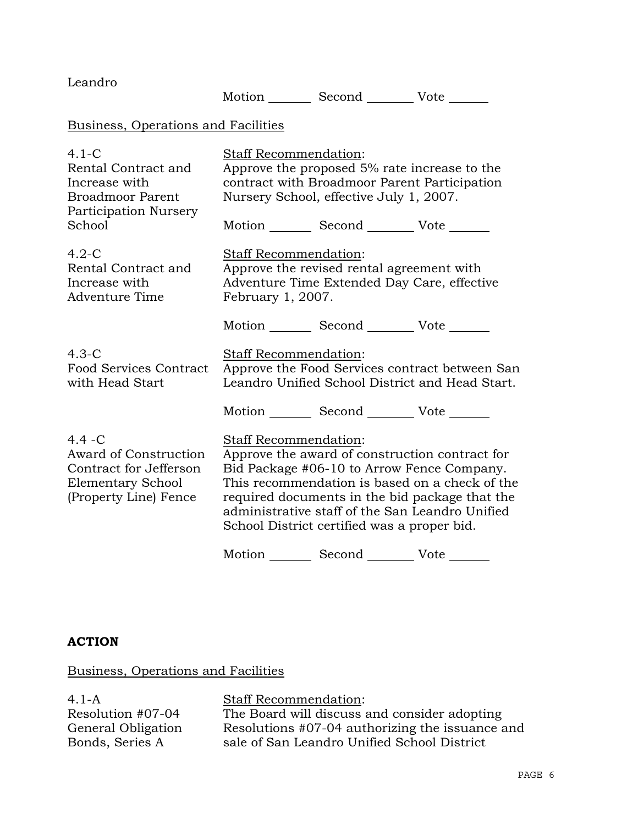| Leandro                                                                                                           | Motion _________ Second __________ Vote _______                                                                                                                                                                                                                                                                             |
|-------------------------------------------------------------------------------------------------------------------|-----------------------------------------------------------------------------------------------------------------------------------------------------------------------------------------------------------------------------------------------------------------------------------------------------------------------------|
| Business, Operations and Facilities                                                                               |                                                                                                                                                                                                                                                                                                                             |
| $4.1-C$<br>Rental Contract and<br>Increase with<br><b>Broadmoor Parent</b><br>Participation Nursery<br>School     | Staff Recommendation:<br>Approve the proposed 5% rate increase to the<br>contract with Broadmoor Parent Participation<br>Nursery School, effective July 1, 2007.<br>Motion _________ Second __________ Vote _______                                                                                                         |
| $4.2-C$<br>Rental Contract and<br>Increase with<br>Adventure Time                                                 | <b>Staff Recommendation:</b><br>Approve the revised rental agreement with<br>Adventure Time Extended Day Care, effective<br>February 1, 2007.                                                                                                                                                                               |
|                                                                                                                   | Motion _________ Second __________ Vote _______                                                                                                                                                                                                                                                                             |
| $4.3-C$<br><b>Food Services Contract</b><br>with Head Start                                                       | Staff Recommendation:<br>Approve the Food Services contract between San<br>Leandro Unified School District and Head Start.                                                                                                                                                                                                  |
|                                                                                                                   | Motion _________ Second _________ Vote _______                                                                                                                                                                                                                                                                              |
| $4.4 - C$<br>Award of Construction<br>Contract for Jefferson<br><b>Elementary School</b><br>(Property Line) Fence | Staff Recommendation:<br>Approve the award of construction contract for<br>Bid Package #06-10 to Arrow Fence Company.<br>This recommendation is based on a check of the<br>required documents in the bid package that the<br>administrative staff of the San Leandro Unified<br>School District certified was a proper bid. |
|                                                                                                                   | Motion<br>Second<br>Vote                                                                                                                                                                                                                                                                                                    |

## **ACTION**

Business, Operations and Facilities

4.1-A Resolution #07-04 General Obligation Bonds, Series A

Staff Recommendation: The Board will discuss and consider adopting Resolutions #07-04 authorizing the issuance and sale of San Leandro Unified School District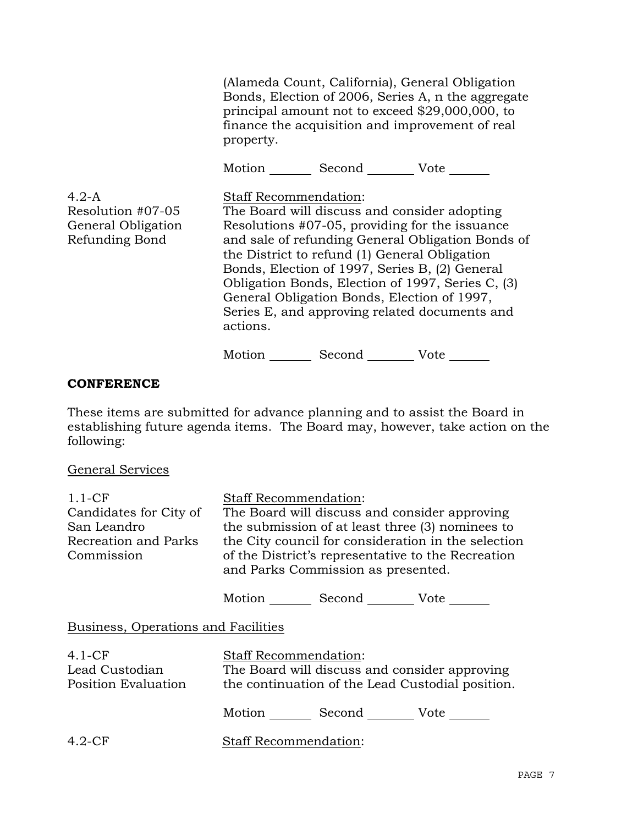|                                                                      | property.                         |                                                                                                                                                                                                                                                  | (Alameda Count, California), General Obligation<br>Bonds, Election of 2006, Series A, n the aggregate<br>principal amount not to exceed \$29,000,000, to<br>finance the acquisition and improvement of real |
|----------------------------------------------------------------------|-----------------------------------|--------------------------------------------------------------------------------------------------------------------------------------------------------------------------------------------------------------------------------------------------|-------------------------------------------------------------------------------------------------------------------------------------------------------------------------------------------------------------|
|                                                                      |                                   | Motion _________ Second __________ Vote _______                                                                                                                                                                                                  |                                                                                                                                                                                                             |
| $4.2-A$<br>Resolution #07-05<br>General Obligation<br>Refunding Bond | Staff Recommendation:<br>actions. | The Board will discuss and consider adopting<br>Resolutions #07-05, providing for the issuance<br>the District to refund (1) General Obligation<br>Bonds, Election of 1997, Series B, (2) General<br>General Obligation Bonds, Election of 1997, | and sale of refunding General Obligation Bonds of<br>Obligation Bonds, Election of 1997, Series C, (3)<br>Series E, and approving related documents and                                                     |
|                                                                      | Motion                            | Second                                                                                                                                                                                                                                           | Vote                                                                                                                                                                                                        |

## **CONFERENCE**

These items are submitted for advance planning and to assist the Board in establishing future agenda items. The Board may, however, take action on the following:

## General Services

| $1.1 - CF$             | <b>Staff Recommendation:</b>                                                             |
|------------------------|------------------------------------------------------------------------------------------|
| Candidates for City of | The Board will discuss and consider approving                                            |
| San Leandro            | the submission of at least three (3) nominees to                                         |
| Recreation and Parks   | the City council for consideration in the selection                                      |
| Commission             | of the District's representative to the Recreation<br>and Parks Commission as presented. |

Motion Second Vote

## Business, Operations and Facilities

| $4.1-CF$<br>Lead Custodian<br><b>Position Evaluation</b> | <b>Staff Recommendation:</b><br>The Board will discuss and consider approving<br>the continuation of the Lead Custodial position. |  |  |
|----------------------------------------------------------|-----------------------------------------------------------------------------------------------------------------------------------|--|--|
|                                                          | Second<br>Motion<br>Vote                                                                                                          |  |  |
| $4.2$ -CF                                                | <b>Staff Recommendation:</b>                                                                                                      |  |  |